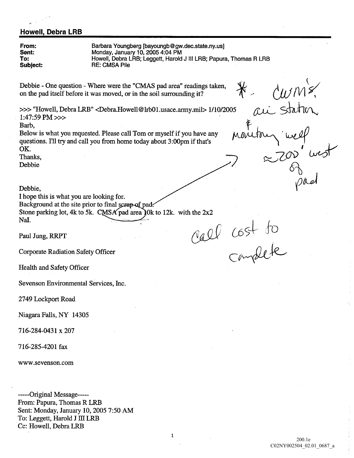## Howell, Debra LRB

From Barbara Youngberg [bayoungb@gw.dec.state.ny.us] Sent Monday, January 10, 2005 4:04 PM Howell, Debra LRB; Leggett, Harold J III LRB; Papura, Thomas R LRB To Subject RE: CMSA Pile Debbie - One question - Where were the "CMAS pad area" readings taken, on the pad itself before it was moved, or in the soil surrounding it?  $\gg$  "Howell, Debra LRB" <Debra.Howell@lrb01.usace.army.mil > 1/10/2005  $1:47:59$  PM  $>>$ Barb Below is what you requested. Please call Tom or myself if you have any questions. I'll try and call you from home today about 3:00pm if that's OK Thanks Debbie Debbie I hope this is what you are looking for. Background at the site prior to final scrap of pad. Stone parking lot, 4k to 5k. CMSA pad area 10k to 12k. with the  $2x^2$ NaI. call cost to Paul Jung, RRPT Corporate Radiation Safety Officer Health and Safety Officer Sevenson Environmental Services, Inc. 2749 Lockport Road Niagara Falls, NY 14305 716-284-0431 x 207 716-285-4201 fax www.sevenson.com -----Original Message-----From: Papura, Thomas R LRB

Sent: Monday, January 10, 2005 7:50 AM To: Leggett, Harold J III LRB Cc: Howell, Debra LRB

 $\mathbf{1}$